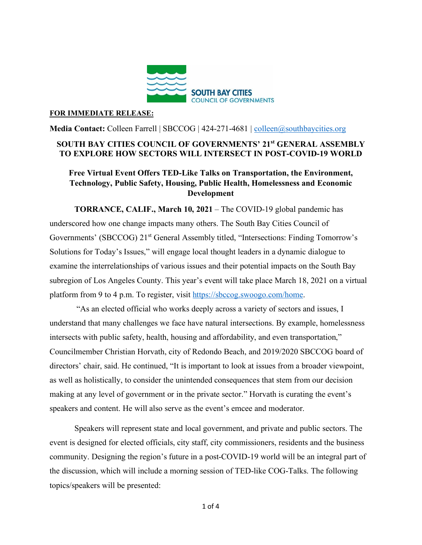

## **FOR IMMEDIATE RELEASE:**

**Media Contact:** Colleen Farrell | SBCCOG | 424-271-4681 | [colleen@southbaycities.org](mailto:colleen@southbaycities.org)

## **SOUTH BAY CITIES COUNCIL OF GOVERNMENTS' 21st GENERAL ASSEMBLY TO EXPLORE HOW SECTORS WILL INTERSECT IN POST-COVID-19 WORLD**

## **Free Virtual Event Offers TED-Like Talks on Transportation, the Environment, Technology, Public Safety, Housing, Public Health, Homelessness and Economic Development**

**TORRANCE, CALIF., March 10, 2021** – The COVID-19 global pandemic has underscored how one change impacts many others. The South Bay Cities Council of Governments' (SBCCOG) 21<sup>st</sup> General Assembly titled, "Intersections: Finding Tomorrow's Solutions for Today's Issues," will engage local thought leaders in a dynamic dialogue to examine the interrelationships of various issues and their potential impacts on the South Bay subregion of Los Angeles County. This year's event will take place March 18, 2021 on a virtual platform from 9 to 4 p.m. To register, visit [https://sbccog.swoogo.com/home.](https://sbccog.swoogo.com/home)

"As an elected official who works deeply across a variety of sectors and issues, I understand that many challenges we face have natural intersections. By example, homelessness intersects with public safety, health, housing and affordability, and even transportation," Councilmember Christian Horvath, city of Redondo Beach, and 2019/2020 SBCCOG board of directors' chair, said. He continued, "It is important to look at issues from a broader viewpoint, as well as holistically, to consider the unintended consequences that stem from our decision making at any level of government or in the private sector." Horvath is curating the event's speakers and content. He will also serve as the event's emcee and moderator.

Speakers will represent state and local government, and private and public sectors. The event is designed for elected officials, city staff, city commissioners, residents and the business community. Designing the region's future in a post-COVID-19 world will be an integral part of the discussion, which will include a morning session of TED-like COG-Talks. The following topics/speakers will be presented: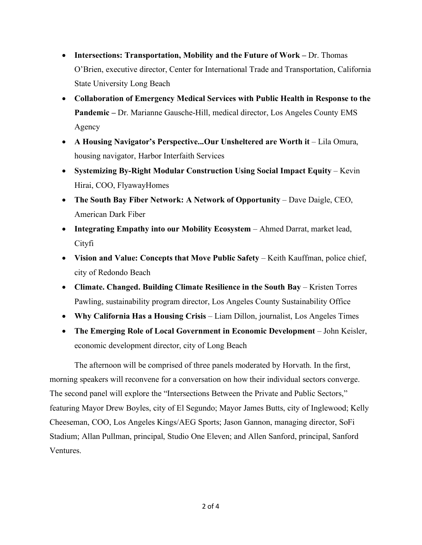- **Intersections: Transportation, Mobility and the Future of Work –** Dr. Thomas O'Brien, executive director, Center for International Trade and Transportation, California State University Long Beach
- **Collaboration of Emergency Medical Services with Public Health in Response to the Pandemic –** Dr. Marianne Gausche-Hill, medical director, Los Angeles County EMS Agency
- A Housing Navigator's Perspective...Our Unsheltered are Worth it Lila Omura, housing navigator, Harbor Interfaith Services
- **Systemizing By-Right Modular Construction Using Social Impact Equity** Kevin Hirai, COO, FlyawayHomes
- **The South Bay Fiber Network: A Network of Opportunity** Dave Daigle, CEO, American Dark Fiber
- **Integrating Empathy into our Mobility Ecosystem** Ahmed Darrat, market lead, Cityfi
- **Vision and Value: Concepts that Move Public Safety** Keith Kauffman, police chief, city of Redondo Beach
- **Climate. Changed. Building Climate Resilience in the South Bay** Kristen Torres Pawling, sustainability program director, Los Angeles County Sustainability Office
- **Why California Has a Housing Crisis** Liam Dillon, journalist, Los Angeles Times
- **The Emerging Role of Local Government in Economic Development** John Keisler, economic development director, city of Long Beach

The afternoon will be comprised of three panels moderated by Horvath. In the first, morning speakers will reconvene for a conversation on how their individual sectors converge. The second panel will explore the "Intersections Between the Private and Public Sectors," featuring Mayor Drew Boyles, city of El Segundo; Mayor James Butts, city of Inglewood; Kelly Cheeseman, COO, Los Angeles Kings/AEG Sports; Jason Gannon, managing director, SoFi Stadium; Allan Pullman, principal, Studio One Eleven; and Allen Sanford, principal, Sanford Ventures.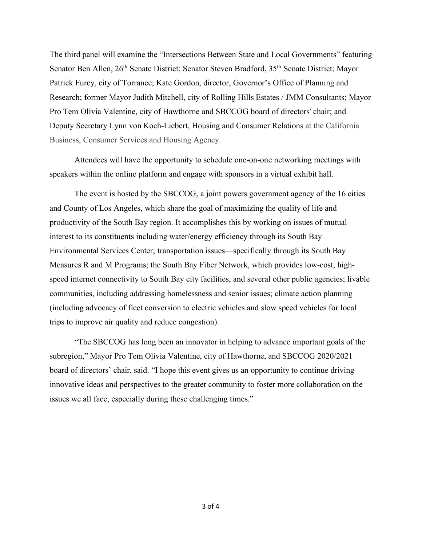The third panel will examine the "Intersections Between State and Local Governments" featuring Senator Ben Allen, 26<sup>th</sup> Senate District; Senator Steven Bradford, 35<sup>th</sup> Senate District; Mayor Patrick Furey, city of Torrance; Kate Gordon, director, Governor's Office of Planning and Research; former Mayor Judith Mitchell, city of Rolling Hills Estates / JMM Consultants; Mayor Pro Tem Olivia Valentine, city of Hawthorne and SBCCOG board of directors' chair; and Deputy Secretary Lynn von Koch-Liebert, Housing and Consumer Relations at the California Business, Consumer Services and Housing Agency.

Attendees will have the opportunity to schedule one-on-one networking meetings with speakers within the online platform and engage with sponsors in a virtual exhibit hall.

The event is hosted by the SBCCOG, a joint powers government agency of the 16 cities and County of Los Angeles, which share the goal of maximizing the quality of life and productivity of the South Bay region. It accomplishes this by working on issues of mutual interest to its constituents including water/energy efficiency through its South Bay Environmental Services Center; transportation issues—specifically through its South Bay Measures R and M Programs; the South Bay Fiber Network, which provides low-cost, highspeed internet connectivity to South Bay city facilities, and several other public agencies; livable communities, including addressing homelessness and senior issues; climate action planning (including advocacy of fleet conversion to electric vehicles and slow speed vehicles for local trips to improve air quality and reduce congestion).

"The SBCCOG has long been an innovator in helping to advance important goals of the subregion," Mayor Pro Tem Olivia Valentine, city of Hawthorne, and SBCCOG 2020/2021 board of directors' chair, said. "I hope this event gives us an opportunity to continue driving innovative ideas and perspectives to the greater community to foster more collaboration on the issues we all face, especially during these challenging times."